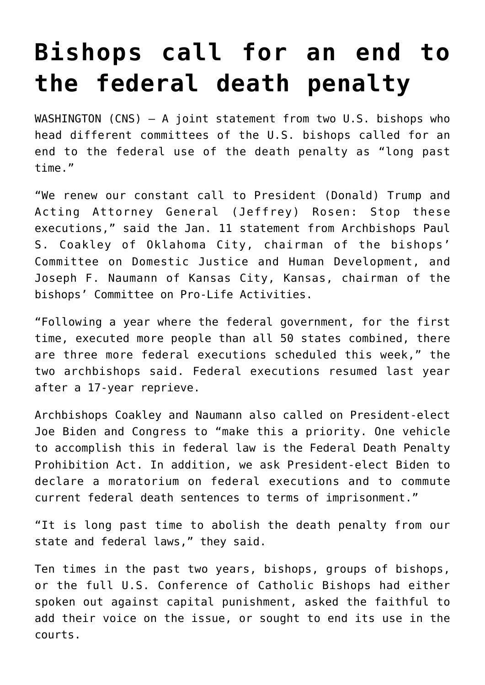## **[Bishops call for an end to](https://www.osvnews.com/2021/01/12/bishops-call-for-an-end-to-the-federal-death-penalty/) [the federal death penalty](https://www.osvnews.com/2021/01/12/bishops-call-for-an-end-to-the-federal-death-penalty/)**

WASHINGTON  $(CNS)$  - A joint statement from two U.S. bishops who head different committees of the U.S. bishops called for an end to the federal use of the death penalty as "long past time."

"We renew our constant call to President (Donald) Trump and Acting Attorney General (Jeffrey) Rosen: Stop these executions," said the Jan. 11 statement from Archbishops Paul S. Coakley of Oklahoma City, chairman of the bishops' Committee on Domestic Justice and Human Development, and Joseph F. Naumann of Kansas City, Kansas, chairman of the bishops' Committee on Pro-Life Activities.

"Following a year where the federal government, for the first time, executed more people than all 50 states combined, there are three more federal executions scheduled this week," the two archbishops said. Federal executions resumed last year after a 17-year reprieve.

Archbishops Coakley and Naumann also called on President-elect Joe Biden and Congress to "make this a priority. One vehicle to accomplish this in federal law is the Federal Death Penalty Prohibition Act. In addition, we ask President-elect Biden to declare a moratorium on federal executions and to commute current federal death sentences to terms of imprisonment."

"It is long past time to abolish the death penalty from our state and federal laws," they said.

Ten times in the past two years, bishops, groups of bishops, or the full U.S. Conference of Catholic Bishops had either spoken out against capital punishment, asked the faithful to add their voice on the issue, or sought to end its use in the courts.